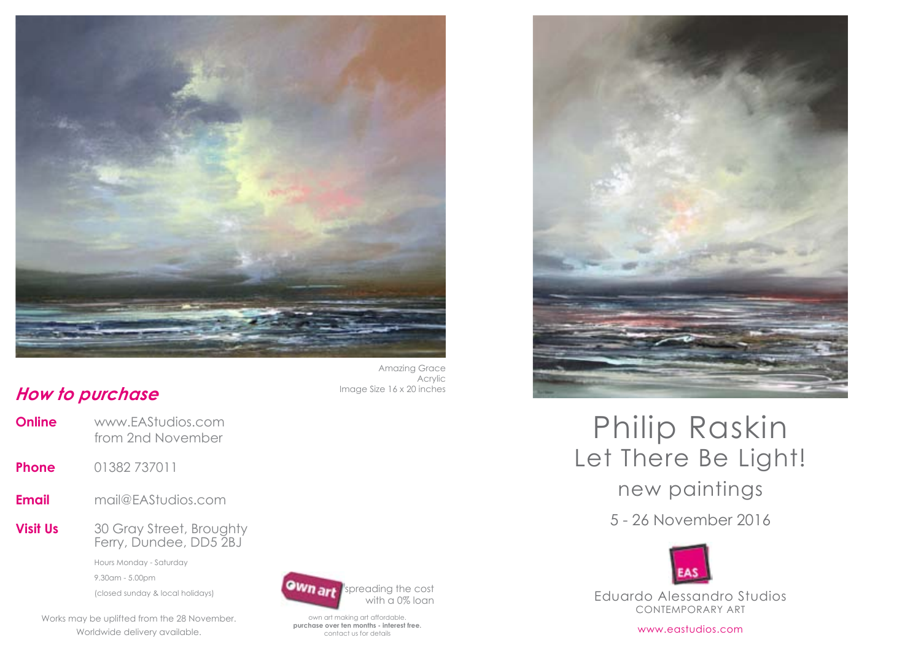

## **How to purchase Image Size 16 x 20 inches**

- **Online** www.EAStudios.com from 2nd November
- **Phone** 01382 737011
- **Email** mail@EAStudios.com
- **Visit Us** 30 Gray Street, Broughty Ferry, Dundee, DD5 2BJ

 Hours Monday - Saturday 9.30am - 5.00pm (closed sunday & local holidays)

works may be uplifted from the 28 November. worldwide delivery available.





own art making art affordable. **purchase over ten months - interest free.** contact us for details



## Let There Be Light! Philip Raskin

new paintings

5 - 26 November 2016



Eduardo Alessandro Studios contemporary art

www.eastudios.com